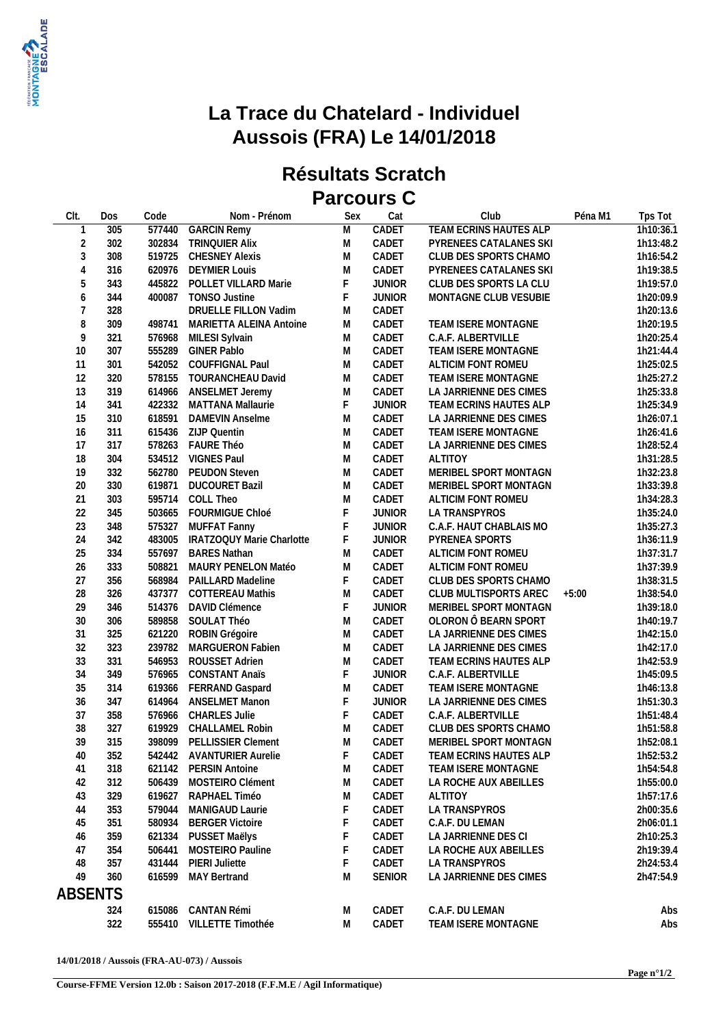

## **La Trace du Chatelard - Individuel Aussois (FRA) Le 14/01/2018**

## **Résultats Scratch Parcours C**

| Clt.           | Dos | Code   | Nom - Prénom              | Sex                                                                                                        | Cat           | Club                                        | Péna M1 | Tps Tot                |
|----------------|-----|--------|---------------------------|------------------------------------------------------------------------------------------------------------|---------------|---------------------------------------------|---------|------------------------|
| $\mathbf{1}$   | 305 | 577440 | <b>GARCIN Remy</b>        | M                                                                                                          | CADET         | <b>TEAM ECRINS HAUTES ALP</b>               |         | 1h10:36.1              |
| $\sqrt{2}$     | 302 | 302834 | TRINQUIER Alix            | M                                                                                                          | CADET         | PYRENEES CATALANES SKI                      |         | 1h13:48.2              |
| $\mathfrak{Z}$ | 308 | 519725 | <b>CHESNEY Alexis</b>     | M                                                                                                          | CADET         | CLUB DES SPORTS CHAMO                       |         | 1h16:54.2              |
| $\overline{4}$ | 316 | 620976 | <b>DEYMIER Louis</b>      | M                                                                                                          | CADET         | PYRENEES CATALANES SKI                      |         | 1h19:38.5              |
| 5              | 343 | 445822 | POLLET VILLARD Marie      | F                                                                                                          | <b>JUNIOR</b> | CLUB DES SPORTS LA CLU                      |         | 1h19:57.0              |
| 6              | 344 | 400087 | <b>TONSO Justine</b>      | F                                                                                                          | <b>JUNIOR</b> | MONTAGNE CLUB VESUBIE                       |         | 1h20:09.9              |
| $\overline{7}$ | 328 |        | DRUELLE FILLON Vadim      | M                                                                                                          | CADET         |                                             |         | 1h20:13.6              |
| 8              | 309 | 498741 | MARIETTA ALEINA Antoine   | M                                                                                                          | CADET         | TEAM ISERE MONTAGNE                         |         | 1h20:19.5              |
| 9              | 321 | 576968 | MILESI Sylvain            | M                                                                                                          | CADET         | C.A.F. ALBERTVILLE                          |         | 1h20:25.4              |
| 10             | 307 |        | 555289 GINER Pablo        | M                                                                                                          | CADET         | TEAM ISERE MONTAGNE                         |         | 1h21:44.4              |
| 11             | 301 |        | 542052 COUFFIGNAL Paul    | M                                                                                                          | CADET         | ALTICIM FONT ROMEU                          |         | 1h25:02.5              |
| 12             | 320 |        | 578155 TOURANCHEAU David  | ${\sf M}$                                                                                                  | CADET         | TEAM ISERE MONTAGNE                         |         | 1h25:27.2              |
| 13             | 319 |        | 614966 ANSELMET Jeremy    | M                                                                                                          | CADET         | LA JARRIENNE DES CIMES                      |         | 1h25:33.8              |
| 14             | 341 | 422332 | MATTANA Mallaurie         | $\mathsf F$                                                                                                | <b>JUNIOR</b> | TEAM ECRINS HAUTES ALP                      |         | 1h25:34.9              |
| 15             | 310 | 618591 | <b>DAMEVIN Anselme</b>    | M                                                                                                          | CADET         | LA JARRIENNE DES CIMES                      |         | 1h26:07.1              |
| 16             | 311 |        | 615436 ZIJP Quentin       | M                                                                                                          | CADET         | TEAM ISERE MONTAGNE                         |         | 1h26:41.6              |
| 17             | 317 |        | 578263 FAURE Théo         | M                                                                                                          | CADET         | LA JARRIENNE DES CIMES                      |         | 1h28:52.4              |
| 18             | 304 |        | 534512 VIGNES Paul        | M                                                                                                          | CADET         | <b>ALTITOY</b>                              |         | 1h31:28.5              |
|                |     |        |                           |                                                                                                            |               |                                             |         |                        |
| 19             | 332 | 562780 | <b>PEUDON Steven</b>      | ${\sf M}$                                                                                                  | CADET         | MERIBEL SPORT MONTAGN                       |         | 1h32:23.8              |
| 20<br>21       | 330 | 619871 | <b>DUCOURET Bazil</b>     | ${\sf M}$<br>${\sf M}$                                                                                     | CADET         | MERIBEL SPORT MONTAGN<br>ALTICIM FONT ROMEU |         | 1h33:39.8<br>1h34:28.3 |
|                | 303 | 595714 | COLL Theo                 |                                                                                                            | CADET         |                                             |         |                        |
| 22             | 345 | 503665 | FOURMIGUE Chloé           | F                                                                                                          | <b>JUNIOR</b> | LA TRANSPYROS                               |         | 1h35:24.0              |
| 23             | 348 |        | 575327 MUFFAT Fanny       | F                                                                                                          | <b>JUNIOR</b> | C.A.F. HAUT CHABLAIS MO                     |         | 1h35:27.3              |
| 24             | 342 | 483005 | IRATZOQUY Marie Charlotte | F                                                                                                          | <b>JUNIOR</b> | PYRENEA SPORTS                              |         | 1h36:11.9              |
| 25             | 334 | 557697 | <b>BARES Nathan</b>       | ${\sf M}$                                                                                                  | CADET         | ALTICIM FONT ROMEU                          |         | 1h37:31.7              |
| 26             | 333 | 508821 | MAURY PENELON Matéo       | M                                                                                                          | CADET         | ALTICIM FONT ROMEU                          |         | 1h37:39.9              |
| 27             | 356 | 568984 | PAILLARD Madeline         | F                                                                                                          | CADET         | CLUB DES SPORTS CHAMO                       |         | 1h38:31.5              |
| 28             | 326 | 437377 | <b>COTTEREAU Mathis</b>   | M                                                                                                          | CADET         | CLUB MULTISPORTS AREC                       | $+5:00$ | 1h38:54.0              |
| 29             | 346 | 514376 | DAVID Clémence            | F                                                                                                          | <b>JUNIOR</b> | MERIBEL SPORT MONTAGN                       |         | 1h39:18.0              |
| 30             | 306 | 589858 | SOULAT Théo               | M                                                                                                          | CADET         | OLORON Ô BEARN SPORT                        |         | 1h40:19.7              |
| 31             | 325 | 621220 | ROBIN Grégoire            | M                                                                                                          | CADET         | LA JARRIENNE DES CIMES                      |         | 1h42:15.0              |
| 32             | 323 | 239782 | MARGUERON Fabien          | M                                                                                                          | CADET         | LA JARRIENNE DES CIMES                      |         | 1h42:17.0              |
| 33             | 331 | 546953 | ROUSSET Adrien            | ${\sf M}$                                                                                                  | CADET         | TEAM ECRINS HAUTES ALP                      |         | 1h42:53.9              |
| 34             | 349 |        | 576965 CONSTANT Anaïs     | F                                                                                                          | <b>JUNIOR</b> | C.A.F. ALBERTVILLE                          |         | 1h45:09.5              |
| 35             | 314 | 619366 | <b>FERRAND Gaspard</b>    | ${\sf M}$                                                                                                  | CADET         | TEAM ISERE MONTAGNE                         |         | 1h46:13.8              |
| 36             | 347 | 614964 | <b>ANSELMET Manon</b>     | $\mathsf F$                                                                                                | <b>JUNIOR</b> | LA JARRIENNE DES CIMES                      |         | 1h51:30.3              |
| 37             | 358 | 576966 | <b>CHARLES Julie</b>      | $\mathsf F$                                                                                                | CADET         | C.A.F. ALBERTVILLE                          |         | 1h51:48.4              |
| 38             | 327 | 619929 | CHALLAMEL Robin           | ${\sf M}$                                                                                                  | CADET         | CLUB DES SPORTS CHAMO                       |         | 1h51:58.8              |
| 39             | 315 |        | 398099 PELLISSIER Clement | $\mathsf{M}% _{T}=\mathsf{M}_{T}\!\left( a,b\right) ,\ \mathsf{M}_{T}=\mathsf{M}_{T}\!\left( a,b\right) ,$ | CADET         | MERIBEL SPORT MONTAGN                       |         | 1h52:08.1              |
| 40             | 352 |        | 542442 AVANTURIER Aurelie | $F -$                                                                                                      | CADET         | TEAM ECRINS HAUTES ALP                      |         | 1h52:53.2              |
| 41             | 318 |        | 621142 PERSIN Antoine     | M                                                                                                          | CADET         | TEAM ISERE MONTAGNE                         |         | 1h54:54.8              |
| 42             | 312 |        | 506439 MOSTEIRO Clément   | M                                                                                                          | CADET         | LA ROCHE AUX ABEILLES                       |         | 1h55:00.0              |
| 43             | 329 | 619627 | RAPHAEL Timéo             | M                                                                                                          | CADET         | ALTITOY                                     |         | 1h57:17.6              |
| 44             | 353 | 579044 | MANIGAUD Laurie           | F                                                                                                          | CADET         | LA TRANSPYROS                               |         | 2h00:35.6              |
| 45             | 351 | 580934 | <b>BERGER Victoire</b>    | F                                                                                                          | CADET         | C.A.F. DU LEMAN                             |         | 2h06:01.1              |
| 46             | 359 | 621334 | PUSSET Maëlys             | F                                                                                                          | CADET         | LA JARRIENNE DES CI                         |         | 2h10:25.3              |
| 47             | 354 | 506441 | MOSTEIRO Pauline          | F                                                                                                          | CADET         | LA ROCHE AUX ABEILLES                       |         | 2h19:39.4              |
| 48             | 357 | 431444 | <b>PIERI Juliette</b>     | F                                                                                                          | CADET         | LA TRANSPYROS                               |         | 2h24:53.4              |
| 49             | 360 | 616599 | <b>MAY Bertrand</b>       | M                                                                                                          | <b>SENIOR</b> | LA JARRIENNE DES CIMES                      |         | 2h47:54.9              |
| <b>ABSENTS</b> |     |        |                           |                                                                                                            |               |                                             |         |                        |
|                |     |        |                           |                                                                                                            |               |                                             |         |                        |
|                | 324 | 615086 | CANTAN Rémi               | M                                                                                                          | CADET         | C.A.F. DU LEMAN                             |         | Abs                    |
|                | 322 |        | 555410 VILLETTE Timothée  | M                                                                                                          | CADET         | TEAM ISERE MONTAGNE                         |         | Abs                    |
|                |     |        |                           |                                                                                                            |               |                                             |         |                        |